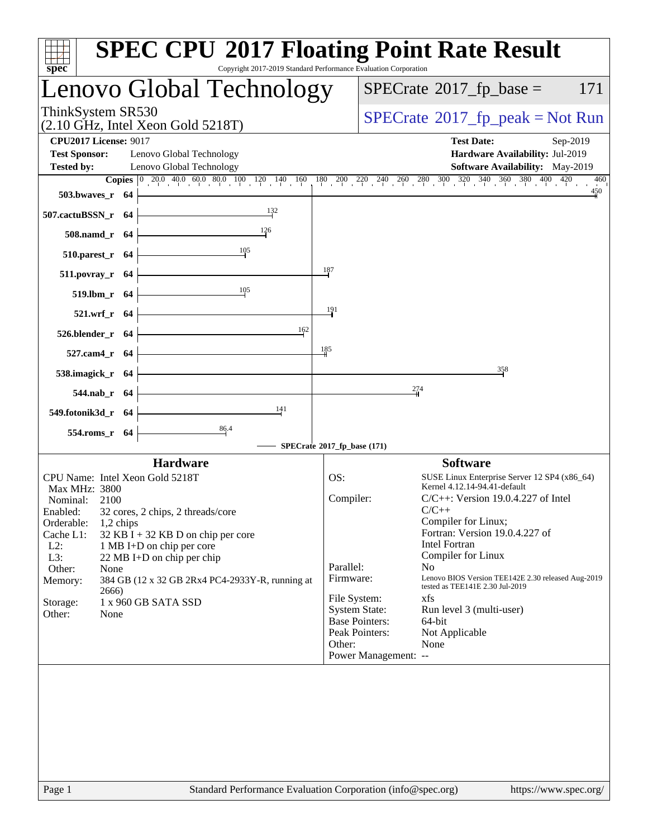|                              |                    |                                                             | Lenovo Global Technology                        |                                         |                      | $SPECrate^{\circledast}2017$ _fp_base =                                                                                                                                           | 171                    |
|------------------------------|--------------------|-------------------------------------------------------------|-------------------------------------------------|-----------------------------------------|----------------------|-----------------------------------------------------------------------------------------------------------------------------------------------------------------------------------|------------------------|
| ThinkSystem SR530            |                    | $(2.10 \text{ GHz}, \text{Intel Xeon Gold } 5218 \text{T})$ |                                                 |                                         |                      | $SPECrate^{\circ}2017$ _fp_peak = Not Run                                                                                                                                         |                        |
| <b>CPU2017 License: 9017</b> |                    |                                                             |                                                 |                                         |                      | <b>Test Date:</b><br>Sep-2019                                                                                                                                                     |                        |
| <b>Test Sponsor:</b>         |                    | Lenovo Global Technology                                    |                                                 |                                         |                      | Hardware Availability: Jul-2019                                                                                                                                                   |                        |
| <b>Tested by:</b>            |                    | Lenovo Global Technology                                    |                                                 |                                         |                      | Software Availability: May-2019                                                                                                                                                   |                        |
|                              |                    |                                                             |                                                 |                                         |                      | <b>Copies</b> $\begin{bmatrix} 0 & 20.0 & 40.0 & 60.0 & 80.0 & 100 & 120 & 140 & 160 & 180 & 200 & 220 & 240 & 260 & 280 & 300 & 320 & 340 & 360 & 380 & 400 & 420 \end{bmatrix}$ | 460<br>$\frac{450}{4}$ |
|                              | $503.bwaves_r$ 64  |                                                             |                                                 |                                         |                      |                                                                                                                                                                                   |                        |
| 507.cactuBSSN_r 64           |                    |                                                             | 132                                             |                                         |                      |                                                                                                                                                                                   |                        |
|                              | 508.namd_r 64      |                                                             |                                                 |                                         |                      |                                                                                                                                                                                   |                        |
|                              | $510.parest_r$ 64  |                                                             | 105                                             |                                         |                      |                                                                                                                                                                                   |                        |
|                              | 511.povray_r 64    |                                                             |                                                 | 187                                     |                      |                                                                                                                                                                                   |                        |
|                              | 519.lbm_r 64       |                                                             | $\frac{105}{10}$                                |                                         |                      |                                                                                                                                                                                   |                        |
|                              | $521.wrf_r$ 64     |                                                             |                                                 | 191                                     |                      |                                                                                                                                                                                   |                        |
|                              |                    |                                                             | 162                                             |                                         |                      |                                                                                                                                                                                   |                        |
|                              | $526.blender_r$ 64 |                                                             |                                                 | 185                                     |                      |                                                                                                                                                                                   |                        |
|                              | 527.cam4_r 64      |                                                             |                                                 |                                         |                      |                                                                                                                                                                                   |                        |
|                              | 538.imagick_r 64   |                                                             |                                                 |                                         |                      | 358                                                                                                                                                                               |                        |
|                              | 544.nab_r 64       |                                                             | <u> 1980 - Johann Barbara, martxa a</u>         |                                         |                      | 274                                                                                                                                                                               |                        |
| 549.fotonik3d_r 64           |                    |                                                             | 141                                             |                                         |                      |                                                                                                                                                                                   |                        |
|                              | 554.roms_r 64      |                                                             | $\frac{86.4}{4}$                                |                                         |                      |                                                                                                                                                                                   |                        |
|                              |                    |                                                             |                                                 | SPECrate®2017_fp_base (171)             |                      |                                                                                                                                                                                   |                        |
|                              |                    | <b>Hardware</b>                                             |                                                 |                                         |                      | <b>Software</b>                                                                                                                                                                   |                        |
| Max MHz: 3800                |                    | CPU Name: Intel Xeon Gold 5218T                             |                                                 | OS:                                     |                      | SUSE Linux Enterprise Server 12 SP4 (x86_64)<br>Kernel 4.12.14-94.41-default                                                                                                      |                        |
| Nominal:                     | 2100               |                                                             |                                                 | Compiler:                               |                      | $C/C++$ : Version 19.0.4.227 of Intel                                                                                                                                             |                        |
| Enabled:<br>Orderable:       | 1,2 chips          | 32 cores, 2 chips, 2 threads/core                           |                                                 |                                         |                      | $C/C++$<br>Compiler for Linux;                                                                                                                                                    |                        |
| Cache L1:                    |                    | 32 KB I + 32 KB D on chip per core                          |                                                 |                                         |                      | Fortran: Version 19.0.4.227 of                                                                                                                                                    |                        |
| $L2$ :                       |                    | 1 MB I+D on chip per core                                   |                                                 |                                         |                      | <b>Intel Fortran</b>                                                                                                                                                              |                        |
| L3:<br>Other:                | None               | 22 MB I+D on chip per chip                                  |                                                 | Parallel:                               |                      | Compiler for Linux<br>N <sub>0</sub>                                                                                                                                              |                        |
| Memory:                      |                    |                                                             | 384 GB (12 x 32 GB 2Rx4 PC4-2933Y-R, running at | Firmware:                               |                      | Lenovo BIOS Version TEE142E 2.30 released Aug-2019<br>tested as TEE141E 2.30 Jul-2019                                                                                             |                        |
| Storage:                     | 2666)              | 1 x 960 GB SATA SSD                                         |                                                 | File System:                            |                      | xfs                                                                                                                                                                               |                        |
|                              | None               |                                                             |                                                 | <b>System State:</b>                    |                      | Run level 3 (multi-user)                                                                                                                                                          |                        |
| Other:                       |                    |                                                             |                                                 | <b>Base Pointers:</b><br>Peak Pointers: |                      | 64-bit<br>Not Applicable                                                                                                                                                          |                        |
|                              |                    |                                                             |                                                 |                                         |                      | None                                                                                                                                                                              |                        |
|                              |                    |                                                             |                                                 | Other:                                  |                      |                                                                                                                                                                                   |                        |
|                              |                    |                                                             |                                                 |                                         | Power Management: -- |                                                                                                                                                                                   |                        |
|                              |                    |                                                             |                                                 |                                         |                      |                                                                                                                                                                                   |                        |
|                              |                    |                                                             |                                                 |                                         |                      |                                                                                                                                                                                   |                        |
|                              |                    |                                                             |                                                 |                                         |                      |                                                                                                                                                                                   |                        |
|                              |                    |                                                             |                                                 |                                         |                      |                                                                                                                                                                                   |                        |
|                              |                    |                                                             |                                                 |                                         |                      |                                                                                                                                                                                   |                        |
|                              |                    |                                                             |                                                 |                                         |                      |                                                                                                                                                                                   |                        |
|                              |                    |                                                             |                                                 |                                         |                      |                                                                                                                                                                                   |                        |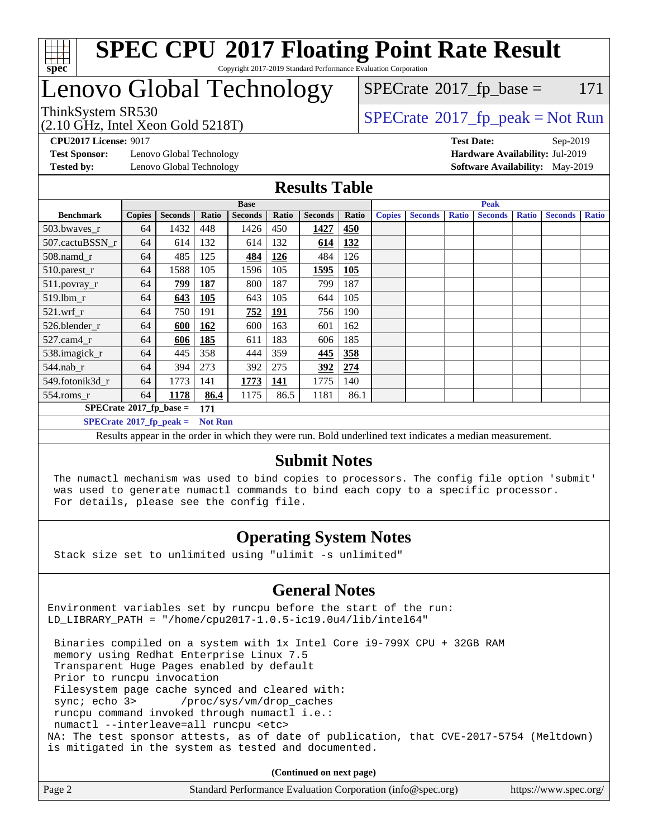

## Lenovo Global Technology

 $SPECTate$ <sup>®</sup>[2017\\_fp\\_base =](http://www.spec.org/auto/cpu2017/Docs/result-fields.html#SPECrate2017fpbase) 171

(2.10 GHz, Intel Xeon Gold 5218T)

 $SPECTate@2017_fp\_peak = Not Run$ 

**[Test Sponsor:](http://www.spec.org/auto/cpu2017/Docs/result-fields.html#TestSponsor)** Lenovo Global Technology **[Hardware Availability:](http://www.spec.org/auto/cpu2017/Docs/result-fields.html#HardwareAvailability)** Jul-2019 **[Tested by:](http://www.spec.org/auto/cpu2017/Docs/result-fields.html#Testedby)** Lenovo Global Technology **[Software Availability:](http://www.spec.org/auto/cpu2017/Docs/result-fields.html#SoftwareAvailability)** May-2019

**[CPU2017 License:](http://www.spec.org/auto/cpu2017/Docs/result-fields.html#CPU2017License)** 9017 **[Test Date:](http://www.spec.org/auto/cpu2017/Docs/result-fields.html#TestDate)** Sep-2019

#### **[Results Table](http://www.spec.org/auto/cpu2017/Docs/result-fields.html#ResultsTable)**

|                                        |               |                | <b>Base</b>    |                |            |                | <b>Peak</b> |               |                |              |                |              |                |              |
|----------------------------------------|---------------|----------------|----------------|----------------|------------|----------------|-------------|---------------|----------------|--------------|----------------|--------------|----------------|--------------|
| <b>Benchmark</b>                       | <b>Copies</b> | <b>Seconds</b> | Ratio          | <b>Seconds</b> | Ratio      | <b>Seconds</b> | Ratio       | <b>Copies</b> | <b>Seconds</b> | <b>Ratio</b> | <b>Seconds</b> | <b>Ratio</b> | <b>Seconds</b> | <b>Ratio</b> |
| 503.bwayes r                           | 64            | 1432           | 448            | 1426           | 450        | 1427           | 450         |               |                |              |                |              |                |              |
| 507.cactuBSSN r                        | 64            | 614            | 132            | 614            | 132        | 614            | 132         |               |                |              |                |              |                |              |
| 508.namd_r                             | 64            | 485            | 125            | 484            | <u>126</u> | 484            | 126         |               |                |              |                |              |                |              |
| 510.parest_r                           | 64            | 1588           | 105            | 1596           | 105        | 1595           | <b>105</b>  |               |                |              |                |              |                |              |
| 511.povray_r                           | 64            | <u>799</u>     | <b>187</b>     | 800            | 187        | 799            | 187         |               |                |              |                |              |                |              |
| 519.lbm r                              | 64            | 643            | <b>105</b>     | 643            | 105        | 644            | 105         |               |                |              |                |              |                |              |
| $521$ .wrf r                           | 64            | 750            | 191            | 752            | <u>191</u> | 756            | 190         |               |                |              |                |              |                |              |
| 526.blender r                          | 64            | 600            | <u>162</u>     | 600            | 163        | 601            | 162         |               |                |              |                |              |                |              |
| $527$ .cam $4r$                        | 64            | 606            | 185            | 611            | 183        | 606            | 185         |               |                |              |                |              |                |              |
| 538.imagick_r                          | 64            | 445            | 358            | 444            | 359        | 445            | 358         |               |                |              |                |              |                |              |
| $544$ .nab_r                           | 64            | 394            | 273            | 392            | 275        | 392            | 274         |               |                |              |                |              |                |              |
| 549.fotonik3d r                        | 64            | 1773           | 141            | 1773           | 141        | 1775           | 140         |               |                |              |                |              |                |              |
| $554$ .roms_r                          | 64            | 1178           | 86.4           | 1175           | 86.5       | 1181           | 86.1        |               |                |              |                |              |                |              |
| $SPECrate$ <sup>®</sup> 2017_fp_base = |               |                | 171            |                |            |                |             |               |                |              |                |              |                |              |
| $SPECrate^{\circ}2017$ fp peak =       |               |                | <b>Not Run</b> |                |            |                |             |               |                |              |                |              |                |              |

Results appear in the [order in which they were run.](http://www.spec.org/auto/cpu2017/Docs/result-fields.html#RunOrder) Bold underlined text [indicates a median measurement.](http://www.spec.org/auto/cpu2017/Docs/result-fields.html#Median)

#### **[Submit Notes](http://www.spec.org/auto/cpu2017/Docs/result-fields.html#SubmitNotes)**

 The numactl mechanism was used to bind copies to processors. The config file option 'submit' was used to generate numactl commands to bind each copy to a specific processor. For details, please see the config file.

### **[Operating System Notes](http://www.spec.org/auto/cpu2017/Docs/result-fields.html#OperatingSystemNotes)**

Stack size set to unlimited using "ulimit -s unlimited"

### **[General Notes](http://www.spec.org/auto/cpu2017/Docs/result-fields.html#GeneralNotes)**

Environment variables set by runcpu before the start of the run: LD\_LIBRARY\_PATH = "/home/cpu2017-1.0.5-ic19.0u4/lib/intel64"

 Binaries compiled on a system with 1x Intel Core i9-799X CPU + 32GB RAM memory using Redhat Enterprise Linux 7.5 Transparent Huge Pages enabled by default Prior to runcpu invocation Filesystem page cache synced and cleared with: sync; echo 3> /proc/sys/vm/drop\_caches runcpu command invoked through numactl i.e.: numactl --interleave=all runcpu <etc> NA: The test sponsor attests, as of date of publication, that CVE-2017-5754 (Meltdown) is mitigated in the system as tested and documented.

**(Continued on next page)**

| Page 2 | Standard Performance Evaluation Corporation (info@spec.org) | https://www.spec.org/ |
|--------|-------------------------------------------------------------|-----------------------|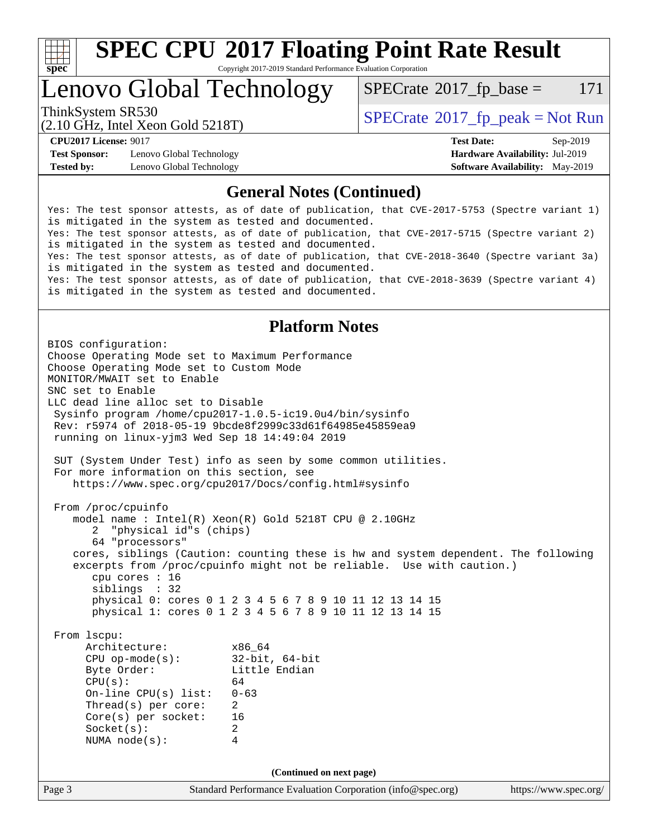

# **[SPEC CPU](http://www.spec.org/auto/cpu2017/Docs/result-fields.html#SPECCPU2017FloatingPointRateResult)[2017 Floating Point Rate Result](http://www.spec.org/auto/cpu2017/Docs/result-fields.html#SPECCPU2017FloatingPointRateResult)**

Copyright 2017-2019 Standard Performance Evaluation Corporation

### Lenovo Global Technology

 $SPECTate@2017_fp\_base = 171$ 

(2.10 GHz, Intel Xeon Gold 5218T)

ThinkSystem SR530<br>  $SPECTA = Not Run$ <br>  $SPECTA = Not Run$ 

**[Test Sponsor:](http://www.spec.org/auto/cpu2017/Docs/result-fields.html#TestSponsor)** Lenovo Global Technology **[Hardware Availability:](http://www.spec.org/auto/cpu2017/Docs/result-fields.html#HardwareAvailability)** Jul-2019 **[Tested by:](http://www.spec.org/auto/cpu2017/Docs/result-fields.html#Testedby)** Lenovo Global Technology **[Software Availability:](http://www.spec.org/auto/cpu2017/Docs/result-fields.html#SoftwareAvailability)** May-2019

**[CPU2017 License:](http://www.spec.org/auto/cpu2017/Docs/result-fields.html#CPU2017License)** 9017 **[Test Date:](http://www.spec.org/auto/cpu2017/Docs/result-fields.html#TestDate)** Sep-2019

### **[General Notes \(Continued\)](http://www.spec.org/auto/cpu2017/Docs/result-fields.html#GeneralNotes)**

Yes: The test sponsor attests, as of date of publication, that CVE-2017-5753 (Spectre variant 1) is mitigated in the system as tested and documented. Yes: The test sponsor attests, as of date of publication, that CVE-2017-5715 (Spectre variant 2) is mitigated in the system as tested and documented. Yes: The test sponsor attests, as of date of publication, that CVE-2018-3640 (Spectre variant 3a) is mitigated in the system as tested and documented. Yes: The test sponsor attests, as of date of publication, that CVE-2018-3639 (Spectre variant 4) is mitigated in the system as tested and documented.

### **[Platform Notes](http://www.spec.org/auto/cpu2017/Docs/result-fields.html#PlatformNotes)**

Page 3 Standard Performance Evaluation Corporation [\(info@spec.org\)](mailto:info@spec.org) <https://www.spec.org/> BIOS configuration: Choose Operating Mode set to Maximum Performance Choose Operating Mode set to Custom Mode MONITOR/MWAIT set to Enable SNC set to Enable LLC dead line alloc set to Disable Sysinfo program /home/cpu2017-1.0.5-ic19.0u4/bin/sysinfo Rev: r5974 of 2018-05-19 9bcde8f2999c33d61f64985e45859ea9 running on linux-yjm3 Wed Sep 18 14:49:04 2019 SUT (System Under Test) info as seen by some common utilities. For more information on this section, see <https://www.spec.org/cpu2017/Docs/config.html#sysinfo> From /proc/cpuinfo model name : Intel(R) Xeon(R) Gold 5218T CPU @ 2.10GHz 2 "physical id"s (chips) 64 "processors" cores, siblings (Caution: counting these is hw and system dependent. The following excerpts from /proc/cpuinfo might not be reliable. Use with caution.) cpu cores : 16 siblings : 32 physical 0: cores 0 1 2 3 4 5 6 7 8 9 10 11 12 13 14 15 physical 1: cores 0 1 2 3 4 5 6 7 8 9 10 11 12 13 14 15 From lscpu: Architecture: x86\_64 CPU op-mode(s): 32-bit, 64-bit Little Endian  $CPU(s):$  64 On-line CPU(s) list: 0-63 Thread(s) per core: 2 Core(s) per socket: 16 Socket(s): 2 NUMA node(s): 4 **(Continued on next page)**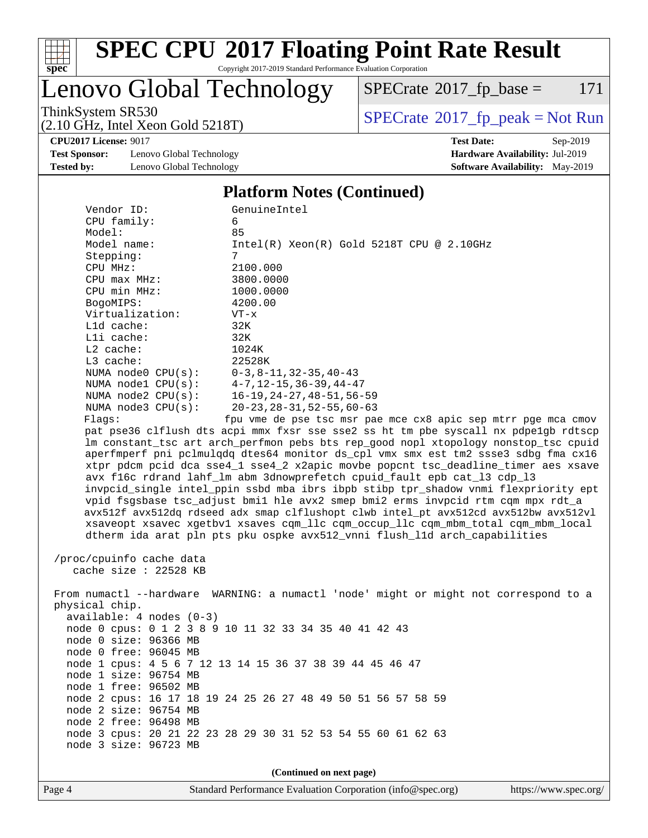

# **[SPEC CPU](http://www.spec.org/auto/cpu2017/Docs/result-fields.html#SPECCPU2017FloatingPointRateResult)[2017 Floating Point Rate Result](http://www.spec.org/auto/cpu2017/Docs/result-fields.html#SPECCPU2017FloatingPointRateResult)**

Copyright 2017-2019 Standard Performance Evaluation Corporation

### Lenovo Global Technology

 $SPECTate$ <sup>®</sup>[2017\\_fp\\_base =](http://www.spec.org/auto/cpu2017/Docs/result-fields.html#SPECrate2017fpbase) 171

(2.10 GHz, Intel Xeon Gold 5218T)

ThinkSystem SR530<br>  $\begin{array}{c}\n\text{SPECrate} \textcircled{2017\_fp\_peak} = \text{Not Run} \\
\text{SPECrate} \textcircled{2017\_fp\_peak} = \text{Not Run} \\
\end{array}$  $\begin{array}{c}\n\text{SPECrate} \textcircled{2017\_fp\_peak} = \text{Not Run} \\
\text{SPECrate} \textcircled{2017\_fp\_peak} = \text{Not Run} \\
\end{array}$  $\begin{array}{c}\n\text{SPECrate} \textcircled{2017\_fp\_peak} = \text{Not Run} \\
\text{SPECrate} \textcircled{2017\_fp\_peak} = \text{Not Run} \\
\end{array}$ 

**[CPU2017 License:](http://www.spec.org/auto/cpu2017/Docs/result-fields.html#CPU2017License)** 9017 **[Test Date:](http://www.spec.org/auto/cpu2017/Docs/result-fields.html#TestDate)** Sep-2019

**[Test Sponsor:](http://www.spec.org/auto/cpu2017/Docs/result-fields.html#TestSponsor)** Lenovo Global Technology **[Hardware Availability:](http://www.spec.org/auto/cpu2017/Docs/result-fields.html#HardwareAvailability)** Jul-2019 **[Tested by:](http://www.spec.org/auto/cpu2017/Docs/result-fields.html#Testedby)** Lenovo Global Technology **[Software Availability:](http://www.spec.org/auto/cpu2017/Docs/result-fields.html#SoftwareAvailability)** May-2019

#### **[Platform Notes \(Continued\)](http://www.spec.org/auto/cpu2017/Docs/result-fields.html#PlatformNotes)**

| Vendor ID:                                     | GenuineIntel                                                                         |
|------------------------------------------------|--------------------------------------------------------------------------------------|
| CPU family:                                    | 6                                                                                    |
| Model:                                         | 85                                                                                   |
| Model name:                                    | Intel(R) Xeon(R) Gold 5218T CPU @ 2.10GHz                                            |
| Stepping:                                      | $7\overline{ }$                                                                      |
| CPU MHz:                                       | 2100.000                                                                             |
| $CPU$ max $MHz$ :                              | 3800.0000                                                                            |
| CPU min MHz:                                   | 1000.0000                                                                            |
| BogoMIPS:                                      | 4200.00                                                                              |
| Virtualization:                                | $VT - x$                                                                             |
| L1d cache:                                     | 32K                                                                                  |
| Lli cache:                                     | 32K                                                                                  |
| L2 cache:                                      | 1024K                                                                                |
| $L3$ cache:                                    | 22528K                                                                               |
| NUMA node0 $CPU(s):$ $0-3, 8-11, 32-35, 40-43$ |                                                                                      |
|                                                | NUMA nodel CPU(s): 4-7, 12-15, 36-39, 44-47                                          |
| NUMA $node2$ $CPU(s):$                         | 16–19,24–27,48–51,56–59                                                              |
| NUMA $node3$ $CPU(s)$ :                        | $20 - 23$ , $28 - 31$ , $52 - 55$ , $60 - 63$                                        |
| Flaqs:                                         | fpu vme de pse tsc msr pae mce cx8 apic sep mtrr pge mca cmov                        |
|                                                | pat pse36 clflush dts acpi mmx fxsr sse sse2 ss ht tm pbe syscall nx pdpe1gb rdtscp  |
|                                                | Im constant_tsc art arch_perfmon pebs bts rep_good nopl xtopology nonstop_tsc cpuid  |
|                                                | aperfmperf pni pclmulgdg dtes64 monitor ds_cpl vmx smx est tm2 ssse3 sdbg fma cx16   |
|                                                | xtpr pdcm pcid dca sse4_1 sse4_2 x2apic movbe popcnt tsc_deadline_timer aes xsave    |
|                                                | avx f16c rdrand lahf lm abm 3dnowprefetch cpuid fault epb cat 13 cdp 13              |
|                                                | invpcid_single intel_ppin ssbd mba ibrs ibpb stibp tpr_shadow vnmi flexpriority ept  |
|                                                | vpid fsgsbase tsc_adjust bmil hle avx2 smep bmi2 erms invpcid rtm cqm mpx rdt_a      |
|                                                | avx512f avx512dq rdseed adx smap clflushopt clwb intel_pt avx512cd avx512bw avx512vl |
|                                                | xsaveopt xsavec xgetbvl xsaves cqm_llc cqm_occup_llc cqm_mbm_total cqm_mbm_local     |
|                                                | dtherm ida arat pln pts pku ospke avx512_vnni flush_lld arch_capabilities            |
|                                                |                                                                                      |
| /proc/cpuinfo cache data                       |                                                                                      |
| cache size : $22528$ KB                        |                                                                                      |
|                                                | From numactl --hardware WARNING: a numactl 'node' might or might not correspond to a |
|                                                |                                                                                      |

 physical chip. available: 4 nodes (0-3) node 0 cpus: 0 1 2 3 8 9 10 11 32 33 34 35 40 41 42 43 node 0 size: 96366 MB node 0 free: 96045 MB node 1 cpus: 4 5 6 7 12 13 14 15 36 37 38 39 44 45 46 47 node 1 size: 96754 MB node 1 free: 96502 MB node 2 cpus: 16 17 18 19 24 25 26 27 48 49 50 51 56 57 58 59 node 2 size: 96754 MB node 2 free: 96498 MB node 3 cpus: 20 21 22 23 28 29 30 31 52 53 54 55 60 61 62 63 node 3 size: 96723 MB

**(Continued on next page)**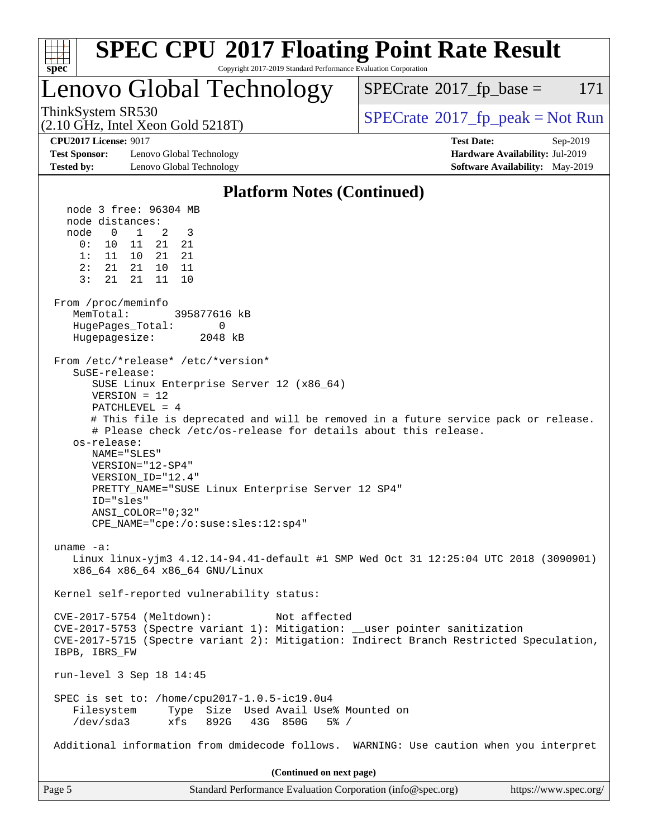| <b>SPEC CPU®2017 Floating Point Rate Result</b><br>Copyright 2017-2019 Standard Performance Evaluation Corporation<br>$spec^*$                                                                                                                                                                                                                                                                                                                                                                                           |                                                                                                            |
|--------------------------------------------------------------------------------------------------------------------------------------------------------------------------------------------------------------------------------------------------------------------------------------------------------------------------------------------------------------------------------------------------------------------------------------------------------------------------------------------------------------------------|------------------------------------------------------------------------------------------------------------|
| Lenovo Global Technology                                                                                                                                                                                                                                                                                                                                                                                                                                                                                                 | $SPECrate^{\circ}2017$ _fp_base =<br>171                                                                   |
| ThinkSystem SR530<br>(2.10 GHz, Intel Xeon Gold 5218T)                                                                                                                                                                                                                                                                                                                                                                                                                                                                   | $SPECrate^{\circ}2017$ _fp_peak = Not Run                                                                  |
| <b>CPU2017 License: 9017</b><br><b>Test Sponsor:</b><br>Lenovo Global Technology<br><b>Tested by:</b><br>Lenovo Global Technology                                                                                                                                                                                                                                                                                                                                                                                        | <b>Test Date:</b><br>Sep-2019<br>Hardware Availability: Jul-2019<br><b>Software Availability:</b> May-2019 |
|                                                                                                                                                                                                                                                                                                                                                                                                                                                                                                                          |                                                                                                            |
| <b>Platform Notes (Continued)</b><br>node 3 free: 96304 MB                                                                                                                                                                                                                                                                                                                                                                                                                                                               |                                                                                                            |
| node distances:<br>node<br>$\overline{0}$<br>3<br>$\mathbf{1}$<br>2<br>21<br>0:<br>11<br>21<br>10<br>1:<br>11 10<br>21<br>21<br>2:<br>21 21<br>10<br>11<br>3:<br>21<br>21<br>11<br>10                                                                                                                                                                                                                                                                                                                                    |                                                                                                            |
| From /proc/meminfo<br>MemTotal:<br>395877616 kB<br>HugePages_Total:<br>0<br>Hugepagesize:<br>2048 kB                                                                                                                                                                                                                                                                                                                                                                                                                     |                                                                                                            |
| From /etc/*release* /etc/*version*<br>SuSE-release:<br>SUSE Linux Enterprise Server 12 (x86_64)<br>$VERSION = 12$<br>$PATCHLEVEL = 4$<br># This file is deprecated and will be removed in a future service pack or release.<br># Please check /etc/os-release for details about this release.<br>os-release:<br>NAME="SLES"<br>VERSION="12-SP4"<br>VERSION ID="12.4"<br>PRETTY_NAME="SUSE Linux Enterprise Server 12 SP4"<br>ID="sles"<br>ANSI_COLOR="0;32"<br>$CPE\_NAME = "cpe://o:suse: sles:12:sp4"$<br>uname $-a$ : |                                                                                                            |
| Linux linux-yjm3 4.12.14-94.41-default #1 SMP Wed Oct 31 12:25:04 UTC 2018 (3090901)<br>x86_64 x86_64 x86_64 GNU/Linux                                                                                                                                                                                                                                                                                                                                                                                                   |                                                                                                            |
| Kernel self-reported vulnerability status:<br>CVE-2017-5754 (Meltdown):<br>Not affected<br>CVE-2017-5753 (Spectre variant 1): Mitigation: __user pointer sanitization<br>CVE-2017-5715 (Spectre variant 2): Mitigation: Indirect Branch Restricted Speculation,<br>IBPB, IBRS FW                                                                                                                                                                                                                                         |                                                                                                            |
| run-level 3 Sep 18 14:45                                                                                                                                                                                                                                                                                                                                                                                                                                                                                                 |                                                                                                            |
| SPEC is set to: /home/cpu2017-1.0.5-ic19.0u4<br>Filesystem<br>Type Size Used Avail Use% Mounted on<br>$/\text{dev/sda}$ 3<br>892G<br>43G 850G<br>$5\%$ /<br>xfs                                                                                                                                                                                                                                                                                                                                                          |                                                                                                            |
| Additional information from dmidecode follows. WARNING: Use caution when you interpret                                                                                                                                                                                                                                                                                                                                                                                                                                   |                                                                                                            |
| (Continued on next page)                                                                                                                                                                                                                                                                                                                                                                                                                                                                                                 |                                                                                                            |
| Page 5<br>Standard Performance Evaluation Corporation (info@spec.org)                                                                                                                                                                                                                                                                                                                                                                                                                                                    | https://www.spec.org/                                                                                      |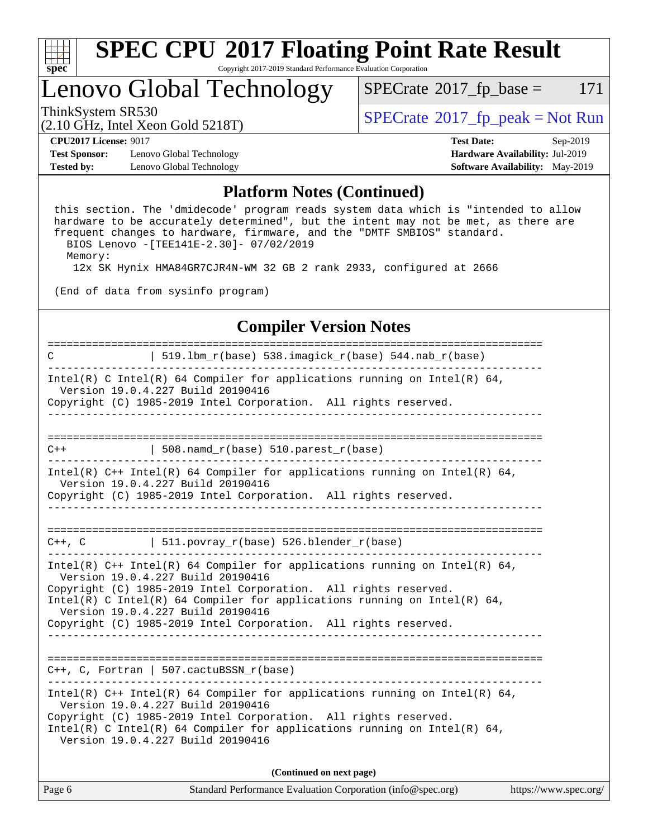

### Lenovo Global Technology

 $SPECTate$ <sup>®</sup>[2017\\_fp\\_base =](http://www.spec.org/auto/cpu2017/Docs/result-fields.html#SPECrate2017fpbase) 171

(2.10 GHz, Intel Xeon Gold 5218T)

ThinkSystem SR530<br>  $SPECTR_{10}$  [SPECrate](http://www.spec.org/auto/cpu2017/Docs/result-fields.html#SPECrate2017fppeak)®[2017\\_fp\\_peak = N](http://www.spec.org/auto/cpu2017/Docs/result-fields.html#SPECrate2017fppeak)ot Run

**[Test Sponsor:](http://www.spec.org/auto/cpu2017/Docs/result-fields.html#TestSponsor)** Lenovo Global Technology **[Hardware Availability:](http://www.spec.org/auto/cpu2017/Docs/result-fields.html#HardwareAvailability)** Jul-2019 **[Tested by:](http://www.spec.org/auto/cpu2017/Docs/result-fields.html#Testedby)** Lenovo Global Technology **[Software Availability:](http://www.spec.org/auto/cpu2017/Docs/result-fields.html#SoftwareAvailability)** May-2019

**[CPU2017 License:](http://www.spec.org/auto/cpu2017/Docs/result-fields.html#CPU2017License)** 9017 **[Test Date:](http://www.spec.org/auto/cpu2017/Docs/result-fields.html#TestDate)** Sep-2019

#### **[Platform Notes \(Continued\)](http://www.spec.org/auto/cpu2017/Docs/result-fields.html#PlatformNotes)**

 this section. The 'dmidecode' program reads system data which is "intended to allow hardware to be accurately determined", but the intent may not be met, as there are frequent changes to hardware, firmware, and the "DMTF SMBIOS" standard. BIOS Lenovo -[TEE141E-2.30]- 07/02/2019

Memory:

12x SK Hynix HMA84GR7CJR4N-WM 32 GB 2 rank 2933, configured at 2666

(End of data from sysinfo program)

#### **[Compiler Version Notes](http://www.spec.org/auto/cpu2017/Docs/result-fields.html#CompilerVersionNotes)**

============================================================================== C | 519.lbm\_r(base) 538.imagick\_r(base) 544.nab\_r(base) ------------------------------------------------------------------------------ Intel(R) C Intel(R) 64 Compiler for applications running on Intel(R) 64, Version 19.0.4.227 Build 20190416 Copyright (C) 1985-2019 Intel Corporation. All rights reserved. ------------------------------------------------------------------------------ ==============================================================================  $C++$  | 508.namd\_r(base) 510.parest\_r(base) ------------------------------------------------------------------------------ Intel(R) C++ Intel(R) 64 Compiler for applications running on Intel(R) 64, Version 19.0.4.227 Build 20190416 Copyright (C) 1985-2019 Intel Corporation. All rights reserved. ------------------------------------------------------------------------------ ==============================================================================  $C++$ , C  $| 511.povray_r(base) 526.blender_r(base)$ ------------------------------------------------------------------------------ Intel(R) C++ Intel(R) 64 Compiler for applications running on Intel(R) 64, Version 19.0.4.227 Build 20190416 Copyright (C) 1985-2019 Intel Corporation. All rights reserved. Intel(R) C Intel(R) 64 Compiler for applications running on Intel(R)  $64$ , Version 19.0.4.227 Build 20190416 Copyright (C) 1985-2019 Intel Corporation. All rights reserved. ------------------------------------------------------------------------------ ============================================================================== C++, C, Fortran | 507.cactuBSSN\_r(base) ------------------------------------------------------------------------------ Intel(R) C++ Intel(R) 64 Compiler for applications running on Intel(R)  $64$ , Version 19.0.4.227 Build 20190416 Copyright (C) 1985-2019 Intel Corporation. All rights reserved. Intel(R) C Intel(R) 64 Compiler for applications running on Intel(R)  $64$ , Version 19.0.4.227 Build 20190416 **(Continued on next page)**

Page 6 Standard Performance Evaluation Corporation [\(info@spec.org\)](mailto:info@spec.org) <https://www.spec.org/>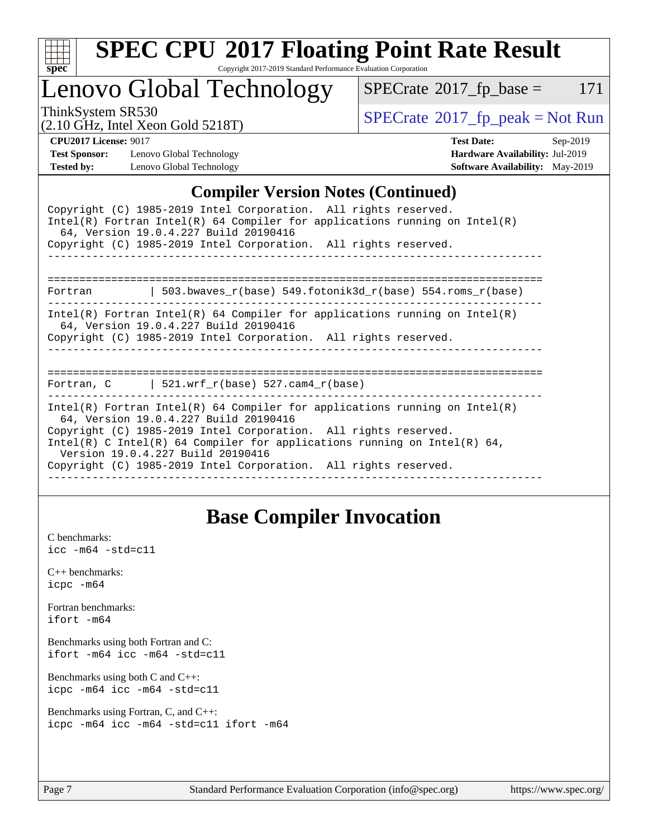

# **[SPEC CPU](http://www.spec.org/auto/cpu2017/Docs/result-fields.html#SPECCPU2017FloatingPointRateResult)[2017 Floating Point Rate Result](http://www.spec.org/auto/cpu2017/Docs/result-fields.html#SPECCPU2017FloatingPointRateResult)**

Copyright 2017-2019 Standard Performance Evaluation Corporation

Lenovo Global Technology

 $SPECTate@2017_fp\_base = 171$ 

(2.10 GHz, Intel Xeon Gold 5218T)

ThinkSystem SR530<br>  $\begin{array}{c}\n\text{SPECrate} \textcirc 2017\_fp\_peak = Not Run \\
\text{SPECrate} \textcirc 2017\_fp\_peak = Not Run\n\end{array}$  $\begin{array}{c}\n\text{SPECrate} \textcirc 2017\_fp\_peak = Not Run \\
\text{SPECrate} \textcirc 2017\_fp\_peak = Not Run\n\end{array}$  $\begin{array}{c}\n\text{SPECrate} \textcirc 2017\_fp\_peak = Not Run \\
\text{SPECrate} \textcirc 2017\_fp\_peak = Not Run\n\end{array}$ 

**[Test Sponsor:](http://www.spec.org/auto/cpu2017/Docs/result-fields.html#TestSponsor)** Lenovo Global Technology **[Hardware Availability:](http://www.spec.org/auto/cpu2017/Docs/result-fields.html#HardwareAvailability)** Jul-2019 **[Tested by:](http://www.spec.org/auto/cpu2017/Docs/result-fields.html#Testedby)** Lenovo Global Technology **[Software Availability:](http://www.spec.org/auto/cpu2017/Docs/result-fields.html#SoftwareAvailability)** May-2019

**[CPU2017 License:](http://www.spec.org/auto/cpu2017/Docs/result-fields.html#CPU2017License)** 9017 **[Test Date:](http://www.spec.org/auto/cpu2017/Docs/result-fields.html#TestDate)** Sep-2019

#### **[Compiler Version Notes \(Continued\)](http://www.spec.org/auto/cpu2017/Docs/result-fields.html#CompilerVersionNotes)**

| Copyright (C) 1985-2019 Intel Corporation. All rights reserved.<br>Intel(R) Fortran Intel(R) 64 Compiler for applications running on Intel(R)<br>64, Version 19.0.4.227 Build 20190416                                                                                                                                                                                     |
|----------------------------------------------------------------------------------------------------------------------------------------------------------------------------------------------------------------------------------------------------------------------------------------------------------------------------------------------------------------------------|
| Copyright (C) 1985-2019 Intel Corporation. All rights reserved.                                                                                                                                                                                                                                                                                                            |
| -----------------------------                                                                                                                                                                                                                                                                                                                                              |
| Fortran 		   503.bwaves_r(base) 549.fotonik3d_r(base) 554.roms_r(base)                                                                                                                                                                                                                                                                                                     |
| Intel(R) Fortran Intel(R) 64 Compiler for applications running on Intel(R)<br>64, Version 19.0.4.227 Build 20190416<br>Copyright (C) 1985-2019 Intel Corporation. All rights reserved.                                                                                                                                                                                     |
| Fortran, C $\vert$ 521.wrf_r(base) 527.cam4_r(base)                                                                                                                                                                                                                                                                                                                        |
| Intel(R) Fortran Intel(R) 64 Compiler for applications running on Intel(R)<br>64, Version 19.0.4.227 Build 20190416<br>Copyright (C) 1985-2019 Intel Corporation. All rights reserved.<br>Intel(R) C Intel(R) 64 Compiler for applications running on Intel(R) 64,<br>Version 19.0.4.227 Build 20190416<br>Copyright (C) 1985-2019 Intel Corporation. All rights reserved. |

### **[Base Compiler Invocation](http://www.spec.org/auto/cpu2017/Docs/result-fields.html#BaseCompilerInvocation)**

[C benchmarks](http://www.spec.org/auto/cpu2017/Docs/result-fields.html#Cbenchmarks): [icc -m64 -std=c11](http://www.spec.org/cpu2017/results/res2019q4/cpu2017-20190926-18634.flags.html#user_CCbase_intel_icc_64bit_c11_33ee0cdaae7deeeab2a9725423ba97205ce30f63b9926c2519791662299b76a0318f32ddfffdc46587804de3178b4f9328c46fa7c2b0cd779d7a61945c91cd35)

[C++ benchmarks:](http://www.spec.org/auto/cpu2017/Docs/result-fields.html#CXXbenchmarks) [icpc -m64](http://www.spec.org/cpu2017/results/res2019q4/cpu2017-20190926-18634.flags.html#user_CXXbase_intel_icpc_64bit_4ecb2543ae3f1412ef961e0650ca070fec7b7afdcd6ed48761b84423119d1bf6bdf5cad15b44d48e7256388bc77273b966e5eb805aefd121eb22e9299b2ec9d9)

[Fortran benchmarks](http://www.spec.org/auto/cpu2017/Docs/result-fields.html#Fortranbenchmarks): [ifort -m64](http://www.spec.org/cpu2017/results/res2019q4/cpu2017-20190926-18634.flags.html#user_FCbase_intel_ifort_64bit_24f2bb282fbaeffd6157abe4f878425411749daecae9a33200eee2bee2fe76f3b89351d69a8130dd5949958ce389cf37ff59a95e7a40d588e8d3a57e0c3fd751)

[Benchmarks using both Fortran and C](http://www.spec.org/auto/cpu2017/Docs/result-fields.html#BenchmarksusingbothFortranandC): [ifort -m64](http://www.spec.org/cpu2017/results/res2019q4/cpu2017-20190926-18634.flags.html#user_CC_FCbase_intel_ifort_64bit_24f2bb282fbaeffd6157abe4f878425411749daecae9a33200eee2bee2fe76f3b89351d69a8130dd5949958ce389cf37ff59a95e7a40d588e8d3a57e0c3fd751) [icc -m64 -std=c11](http://www.spec.org/cpu2017/results/res2019q4/cpu2017-20190926-18634.flags.html#user_CC_FCbase_intel_icc_64bit_c11_33ee0cdaae7deeeab2a9725423ba97205ce30f63b9926c2519791662299b76a0318f32ddfffdc46587804de3178b4f9328c46fa7c2b0cd779d7a61945c91cd35)

[Benchmarks using both C and C++](http://www.spec.org/auto/cpu2017/Docs/result-fields.html#BenchmarksusingbothCandCXX): [icpc -m64](http://www.spec.org/cpu2017/results/res2019q4/cpu2017-20190926-18634.flags.html#user_CC_CXXbase_intel_icpc_64bit_4ecb2543ae3f1412ef961e0650ca070fec7b7afdcd6ed48761b84423119d1bf6bdf5cad15b44d48e7256388bc77273b966e5eb805aefd121eb22e9299b2ec9d9) [icc -m64 -std=c11](http://www.spec.org/cpu2017/results/res2019q4/cpu2017-20190926-18634.flags.html#user_CC_CXXbase_intel_icc_64bit_c11_33ee0cdaae7deeeab2a9725423ba97205ce30f63b9926c2519791662299b76a0318f32ddfffdc46587804de3178b4f9328c46fa7c2b0cd779d7a61945c91cd35)

[Benchmarks using Fortran, C, and C++:](http://www.spec.org/auto/cpu2017/Docs/result-fields.html#BenchmarksusingFortranCandCXX) [icpc -m64](http://www.spec.org/cpu2017/results/res2019q4/cpu2017-20190926-18634.flags.html#user_CC_CXX_FCbase_intel_icpc_64bit_4ecb2543ae3f1412ef961e0650ca070fec7b7afdcd6ed48761b84423119d1bf6bdf5cad15b44d48e7256388bc77273b966e5eb805aefd121eb22e9299b2ec9d9) [icc -m64 -std=c11](http://www.spec.org/cpu2017/results/res2019q4/cpu2017-20190926-18634.flags.html#user_CC_CXX_FCbase_intel_icc_64bit_c11_33ee0cdaae7deeeab2a9725423ba97205ce30f63b9926c2519791662299b76a0318f32ddfffdc46587804de3178b4f9328c46fa7c2b0cd779d7a61945c91cd35) [ifort -m64](http://www.spec.org/cpu2017/results/res2019q4/cpu2017-20190926-18634.flags.html#user_CC_CXX_FCbase_intel_ifort_64bit_24f2bb282fbaeffd6157abe4f878425411749daecae9a33200eee2bee2fe76f3b89351d69a8130dd5949958ce389cf37ff59a95e7a40d588e8d3a57e0c3fd751)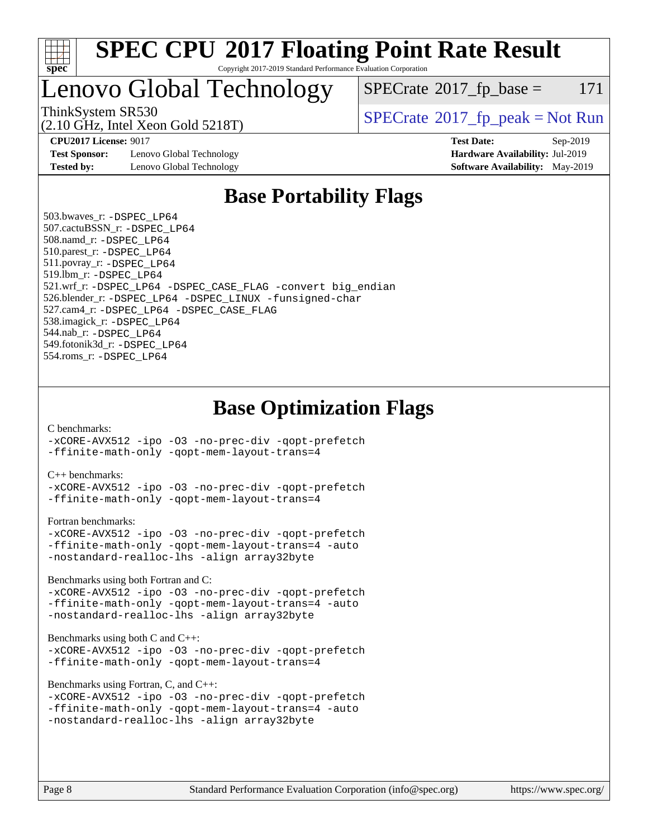

### Lenovo Global Technology

 $SPECTate@2017_fp\_base = 171$ 

(2.10 GHz, Intel Xeon Gold 5218T)

ThinkSystem SR530<br>  $S$ PECrate®[2017\\_fp\\_peak = N](http://www.spec.org/auto/cpu2017/Docs/result-fields.html#SPECrate2017fppeak)ot Run

**[Test Sponsor:](http://www.spec.org/auto/cpu2017/Docs/result-fields.html#TestSponsor)** Lenovo Global Technology **[Hardware Availability:](http://www.spec.org/auto/cpu2017/Docs/result-fields.html#HardwareAvailability)** Jul-2019 **[Tested by:](http://www.spec.org/auto/cpu2017/Docs/result-fields.html#Testedby)** Lenovo Global Technology **[Software Availability:](http://www.spec.org/auto/cpu2017/Docs/result-fields.html#SoftwareAvailability)** May-2019

**[CPU2017 License:](http://www.spec.org/auto/cpu2017/Docs/result-fields.html#CPU2017License)** 9017 **[Test Date:](http://www.spec.org/auto/cpu2017/Docs/result-fields.html#TestDate)** Sep-2019

### **[Base Portability Flags](http://www.spec.org/auto/cpu2017/Docs/result-fields.html#BasePortabilityFlags)**

 503.bwaves\_r: [-DSPEC\\_LP64](http://www.spec.org/cpu2017/results/res2019q4/cpu2017-20190926-18634.flags.html#suite_basePORTABILITY503_bwaves_r_DSPEC_LP64) 507.cactuBSSN\_r: [-DSPEC\\_LP64](http://www.spec.org/cpu2017/results/res2019q4/cpu2017-20190926-18634.flags.html#suite_basePORTABILITY507_cactuBSSN_r_DSPEC_LP64) 508.namd\_r: [-DSPEC\\_LP64](http://www.spec.org/cpu2017/results/res2019q4/cpu2017-20190926-18634.flags.html#suite_basePORTABILITY508_namd_r_DSPEC_LP64) 510.parest\_r: [-DSPEC\\_LP64](http://www.spec.org/cpu2017/results/res2019q4/cpu2017-20190926-18634.flags.html#suite_basePORTABILITY510_parest_r_DSPEC_LP64) 511.povray\_r: [-DSPEC\\_LP64](http://www.spec.org/cpu2017/results/res2019q4/cpu2017-20190926-18634.flags.html#suite_basePORTABILITY511_povray_r_DSPEC_LP64) 519.lbm\_r: [-DSPEC\\_LP64](http://www.spec.org/cpu2017/results/res2019q4/cpu2017-20190926-18634.flags.html#suite_basePORTABILITY519_lbm_r_DSPEC_LP64) 521.wrf\_r: [-DSPEC\\_LP64](http://www.spec.org/cpu2017/results/res2019q4/cpu2017-20190926-18634.flags.html#suite_basePORTABILITY521_wrf_r_DSPEC_LP64) [-DSPEC\\_CASE\\_FLAG](http://www.spec.org/cpu2017/results/res2019q4/cpu2017-20190926-18634.flags.html#b521.wrf_r_baseCPORTABILITY_DSPEC_CASE_FLAG) [-convert big\\_endian](http://www.spec.org/cpu2017/results/res2019q4/cpu2017-20190926-18634.flags.html#user_baseFPORTABILITY521_wrf_r_convert_big_endian_c3194028bc08c63ac5d04de18c48ce6d347e4e562e8892b8bdbdc0214820426deb8554edfa529a3fb25a586e65a3d812c835984020483e7e73212c4d31a38223) 526.blender\_r: [-DSPEC\\_LP64](http://www.spec.org/cpu2017/results/res2019q4/cpu2017-20190926-18634.flags.html#suite_basePORTABILITY526_blender_r_DSPEC_LP64) [-DSPEC\\_LINUX](http://www.spec.org/cpu2017/results/res2019q4/cpu2017-20190926-18634.flags.html#b526.blender_r_baseCPORTABILITY_DSPEC_LINUX) [-funsigned-char](http://www.spec.org/cpu2017/results/res2019q4/cpu2017-20190926-18634.flags.html#user_baseCPORTABILITY526_blender_r_force_uchar_40c60f00ab013830e2dd6774aeded3ff59883ba5a1fc5fc14077f794d777847726e2a5858cbc7672e36e1b067e7e5c1d9a74f7176df07886a243d7cc18edfe67) 527.cam4\_r: [-DSPEC\\_LP64](http://www.spec.org/cpu2017/results/res2019q4/cpu2017-20190926-18634.flags.html#suite_basePORTABILITY527_cam4_r_DSPEC_LP64) [-DSPEC\\_CASE\\_FLAG](http://www.spec.org/cpu2017/results/res2019q4/cpu2017-20190926-18634.flags.html#b527.cam4_r_baseCPORTABILITY_DSPEC_CASE_FLAG) 538.imagick\_r: [-DSPEC\\_LP64](http://www.spec.org/cpu2017/results/res2019q4/cpu2017-20190926-18634.flags.html#suite_basePORTABILITY538_imagick_r_DSPEC_LP64) 544.nab\_r: [-DSPEC\\_LP64](http://www.spec.org/cpu2017/results/res2019q4/cpu2017-20190926-18634.flags.html#suite_basePORTABILITY544_nab_r_DSPEC_LP64) 549.fotonik3d\_r: [-DSPEC\\_LP64](http://www.spec.org/cpu2017/results/res2019q4/cpu2017-20190926-18634.flags.html#suite_basePORTABILITY549_fotonik3d_r_DSPEC_LP64) 554.roms\_r: [-DSPEC\\_LP64](http://www.spec.org/cpu2017/results/res2019q4/cpu2017-20190926-18634.flags.html#suite_basePORTABILITY554_roms_r_DSPEC_LP64)

### **[Base Optimization Flags](http://www.spec.org/auto/cpu2017/Docs/result-fields.html#BaseOptimizationFlags)**

#### [C benchmarks](http://www.spec.org/auto/cpu2017/Docs/result-fields.html#Cbenchmarks):

[-xCORE-AVX512](http://www.spec.org/cpu2017/results/res2019q4/cpu2017-20190926-18634.flags.html#user_CCbase_f-xCORE-AVX512) [-ipo](http://www.spec.org/cpu2017/results/res2019q4/cpu2017-20190926-18634.flags.html#user_CCbase_f-ipo) [-O3](http://www.spec.org/cpu2017/results/res2019q4/cpu2017-20190926-18634.flags.html#user_CCbase_f-O3) [-no-prec-div](http://www.spec.org/cpu2017/results/res2019q4/cpu2017-20190926-18634.flags.html#user_CCbase_f-no-prec-div) [-qopt-prefetch](http://www.spec.org/cpu2017/results/res2019q4/cpu2017-20190926-18634.flags.html#user_CCbase_f-qopt-prefetch) [-ffinite-math-only](http://www.spec.org/cpu2017/results/res2019q4/cpu2017-20190926-18634.flags.html#user_CCbase_f_finite_math_only_cb91587bd2077682c4b38af759c288ed7c732db004271a9512da14a4f8007909a5f1427ecbf1a0fb78ff2a814402c6114ac565ca162485bbcae155b5e4258871) [-qopt-mem-layout-trans=4](http://www.spec.org/cpu2017/results/res2019q4/cpu2017-20190926-18634.flags.html#user_CCbase_f-qopt-mem-layout-trans_fa39e755916c150a61361b7846f310bcdf6f04e385ef281cadf3647acec3f0ae266d1a1d22d972a7087a248fd4e6ca390a3634700869573d231a252c784941a8)

#### [C++ benchmarks:](http://www.spec.org/auto/cpu2017/Docs/result-fields.html#CXXbenchmarks)

[-xCORE-AVX512](http://www.spec.org/cpu2017/results/res2019q4/cpu2017-20190926-18634.flags.html#user_CXXbase_f-xCORE-AVX512) [-ipo](http://www.spec.org/cpu2017/results/res2019q4/cpu2017-20190926-18634.flags.html#user_CXXbase_f-ipo) [-O3](http://www.spec.org/cpu2017/results/res2019q4/cpu2017-20190926-18634.flags.html#user_CXXbase_f-O3) [-no-prec-div](http://www.spec.org/cpu2017/results/res2019q4/cpu2017-20190926-18634.flags.html#user_CXXbase_f-no-prec-div) [-qopt-prefetch](http://www.spec.org/cpu2017/results/res2019q4/cpu2017-20190926-18634.flags.html#user_CXXbase_f-qopt-prefetch) [-ffinite-math-only](http://www.spec.org/cpu2017/results/res2019q4/cpu2017-20190926-18634.flags.html#user_CXXbase_f_finite_math_only_cb91587bd2077682c4b38af759c288ed7c732db004271a9512da14a4f8007909a5f1427ecbf1a0fb78ff2a814402c6114ac565ca162485bbcae155b5e4258871) [-qopt-mem-layout-trans=4](http://www.spec.org/cpu2017/results/res2019q4/cpu2017-20190926-18634.flags.html#user_CXXbase_f-qopt-mem-layout-trans_fa39e755916c150a61361b7846f310bcdf6f04e385ef281cadf3647acec3f0ae266d1a1d22d972a7087a248fd4e6ca390a3634700869573d231a252c784941a8)

#### [Fortran benchmarks](http://www.spec.org/auto/cpu2017/Docs/result-fields.html#Fortranbenchmarks):

```
-xCORE-AVX512 -ipo -O3 -no-prec-div -qopt-prefetch
-ffinite-math-only -qopt-mem-layout-trans=4 -auto
-nostandard-realloc-lhs -align array32byte
```
[Benchmarks using both Fortran and C](http://www.spec.org/auto/cpu2017/Docs/result-fields.html#BenchmarksusingbothFortranandC):

```
-xCORE-AVX512 -ipo -O3 -no-prec-div -qopt-prefetch
-ffinite-math-only -qopt-mem-layout-trans=4 -auto
-nostandard-realloc-lhs -align array32byte
```
#### [Benchmarks using both C and C++](http://www.spec.org/auto/cpu2017/Docs/result-fields.html#BenchmarksusingbothCandCXX):

```
-xCORE-AVX512 -ipo -O3 -no-prec-div -qopt-prefetch
-ffinite-math-only -qopt-mem-layout-trans=4
```
[Benchmarks using Fortran, C, and C++:](http://www.spec.org/auto/cpu2017/Docs/result-fields.html#BenchmarksusingFortranCandCXX)

```
-xCORE-AVX512 -ipo -O3 -no-prec-div -qopt-prefetch
-ffinite-math-only -qopt-mem-layout-trans=4 -auto
-nostandard-realloc-lhs -align array32byte
```